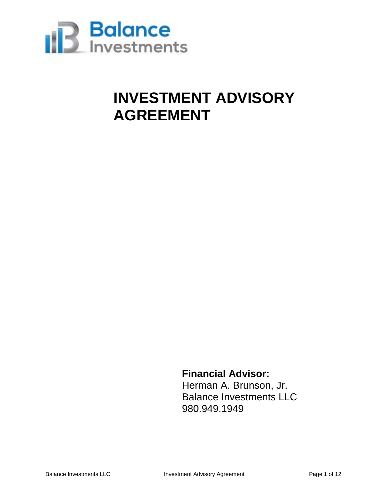

### **INVESTMENT ADVISORY AGREEMENT**

**Financial Advisor:** Herman A. Brunson, Jr. Balance Investments LLC 980.949.1949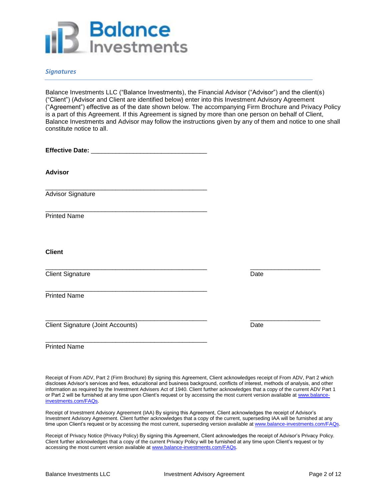

### *Signatures*

Balance Investments LLC ("Balance Investments), the Financial Advisor ("Advisor") and the client(s) ("Client") (Advisor and Client are identified below) enter into this Investment Advisory Agreement ("Agreement") effective as of the date shown below. The accompanying Firm Brochure and Privacy Policy is a part of this Agreement. If this Agreement is signed by more than one person on behalf of Client, Balance Investments and Advisor may follow the instructions given by any of them and notice to one shall constitute notice to all.

| <b>Advisor</b>                                                                                                                                            |      |  |
|-----------------------------------------------------------------------------------------------------------------------------------------------------------|------|--|
| <u> 1980 - Johann John Stone, mars et al. 1980 - John Stone, mars et al. 1980 - John Stone, mars et al. 1980 - John Stone</u><br><b>Advisor Signature</b> |      |  |
| <b>Printed Name</b>                                                                                                                                       |      |  |
| <b>Client</b>                                                                                                                                             |      |  |
| <b>Client Signature</b>                                                                                                                                   | Date |  |
| <b>Printed Name</b>                                                                                                                                       |      |  |
| <b>Client Signature (Joint Accounts)</b>                                                                                                                  | Date |  |
| <b>Printed Name</b>                                                                                                                                       |      |  |

Receipt of From ADV, Part 2 (Firm Brochure) By signing this Agreement, Client acknowledges receipt of From ADV, Part 2 which discloses Advisor's services and fees, educational and business background, conflicts of interest, methods of analysis, and other information as required by the Investment Advisers Act of 1940. Client further acknowledges that a copy of the current ADV Part 1 or Part 2 will be furnished at any time upon Client's request or by accessing the most current version available at [www.balance](http://www.balance-investments.com/FAQs)[investments.com/FAQs.](http://www.balance-investments.com/FAQs)

Receipt of Investment Advisory Agreement (IAA) By signing this Agreement, Client acknowledges the receipt of Advisor's Investment Advisory Agreement. Client further acknowledges that a copy of the current, superseding IAA will be furnished at any time upon Client's request or by accessing the most current, superseding version available a[t www.balance-investments.com/FAQs.](http://www.balance-investments.com/FAQs)

Receipt of Privacy Notice (Privacy Policy) By signing this Agreement, Client acknowledges the receipt of Advisor's Privacy Policy. Client further acknowledges that a copy of the current Privacy Policy will be furnished at any time upon Client's request or by accessing the most current version available a[t www.balance-investments.com/FAQs.](http://www.balance-investments.com/FAQs)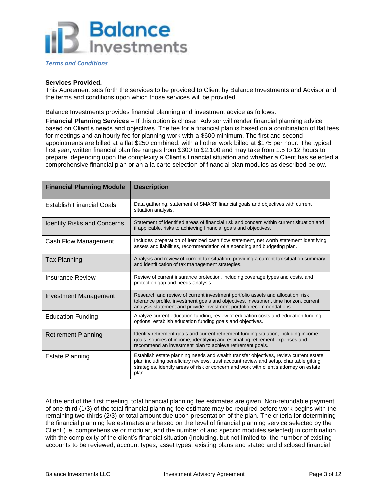#### *Terms and Conditions*

#### **Services Provided.**

This Agreement sets forth the services to be provided to Client by Balance Investments and Advisor and the terms and conditions upon which those services will be provided.

Balance Investments provides financial planning and investment advice as follows:

**Financial Planning Services** – If this option is chosen Advisor will render financial planning advice based on Client's needs and objectives. The fee for a financial plan is based on a combination of flat fees for meetings and an hourly fee for planning work with a \$600 minimum. The first and second appointments are billed at a flat \$250 combined, with all other work billed at \$175 per hour. The typical first year, written financial plan fee ranges from \$300 to \$2,100 and may take from 1.5 to 12 hours to prepare, depending upon the complexity a Client's financial situation and whether a Client has selected a comprehensive financial plan or an a la carte selection of financial plan modules as described below.

| <b>Financial Planning Module</b>   | <b>Description</b>                                                                                                                                                                                                                                                                  |  |
|------------------------------------|-------------------------------------------------------------------------------------------------------------------------------------------------------------------------------------------------------------------------------------------------------------------------------------|--|
| Establish Financial Goals          | Data gathering, statement of SMART financial goals and objectives with current<br>situation analysis.                                                                                                                                                                               |  |
| <b>Identify Risks and Concerns</b> | Statement of identified areas of financial risk and concern within current situation and<br>if applicable, risks to achieving financial goals and objectives.                                                                                                                       |  |
| Cash Flow Management               | Includes preparation of itemized cash flow statement, net worth statement identifying<br>assets and liabilities, recommendation of a spending and budgeting plan.                                                                                                                   |  |
| <b>Tax Planning</b>                | Analysis and review of current tax situation, providing a current tax situation summary<br>and identification of tax management strategies.                                                                                                                                         |  |
| Insurance Review                   | Review of current insurance protection, including coverage types and costs, and<br>protection gap and needs analysis.                                                                                                                                                               |  |
| <b>Investment Management</b>       | Research and review of current investment portfolio assets and allocation, risk<br>tolerance profile, investment goals and objectives, investment time horizon, current<br>analysis statement and provide investment portfolio recommendations.                                     |  |
| <b>Education Funding</b>           | Analyze current education funding, review of education costs and education funding<br>options; establish education funding goals and objectives.                                                                                                                                    |  |
| Retirement Planning                | Identify retirement goals and current retirement funding situation, including income<br>goals, sources of income, identifying and estimating retirement expenses and<br>recommend an investment plan to achieve retirement goals.                                                   |  |
| <b>Estate Planning</b>             | Establish estate planning needs and wealth transfer objectives, review current estate<br>plan including beneficiary reviews, trust account review and setup, charitable gifting<br>strategies, identify areas of risk or concern and work with client's attorney on estate<br>plan. |  |

At the end of the first meeting, total financial planning fee estimates are given. Non-refundable payment of one-third (1/3) of the total financial planning fee estimate may be required before work begins with the remaining two-thirds (2/3) or total amount due upon presentation of the plan. The criteria for determining the financial planning fee estimates are based on the level of financial planning service selected by the Client (i.e. comprehensive or modular, and the number of and specific modules selected) in combination with the complexity of the client's financial situation (including, but not limited to, the number of existing accounts to be reviewed, account types, asset types, existing plans and stated and disclosed financial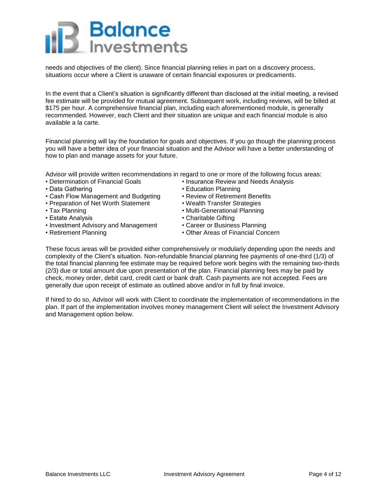needs and objectives of the client). Since financial planning relies in part on a discovery process, situations occur where a Client is unaware of certain financial exposures or predicaments.

In the event that a Client's situation is significantly different than disclosed at the initial meeting, a revised fee estimate will be provided for mutual agreement. Subsequent work, including reviews, will be billed at \$175 per hour. A comprehensive financial plan, including each aforementioned module, is generally recommended. However, each Client and their situation are unique and each financial module is also available a la carte.

Financial planning will lay the foundation for goals and objectives. If you go though the planning process you will have a better idea of your financial situation and the Advisor will have a better understanding of how to plan and manage assets for your future.

Advisor will provide written recommendations in regard to one or more of the following focus areas:

- 
- 
- Data Gathering Education Planning<br>• Cash Flow Management and Budgeting Review of Retirement Benefits • Cash Flow Management and Budgeting
- Preparation of Net Worth Statement Wealth Transfer Strategies
- 
- Estate Analysis Charitable Gifting
- Investment Advisory and Management Career or Business Planning
- 
- Determination of Financial Goals Insurance Review and Needs Analysis
	-
	-
	-
- Tax Planning  **Tax Planning Multi-Generational Planning** 
	-
	-
- Retirement Planning  **Other Areas of Financial Concern**

These focus areas will be provided either comprehensively or modularly depending upon the needs and complexity of the Client's situation. Non-refundable financial planning fee payments of one-third (1/3) of the total financial planning fee estimate may be required before work begins with the remaining two-thirds (2/3) due or total amount due upon presentation of the plan. Financial planning fees may be paid by check, money order, debit card, credit card or bank draft. Cash payments are not accepted. Fees are generally due upon receipt of estimate as outlined above and/or in full by final invoice.

If hired to do so, Advisor will work with Client to coordinate the implementation of recommendations in the plan. If part of the implementation involves money management Client will select the Investment Advisory and Management option below.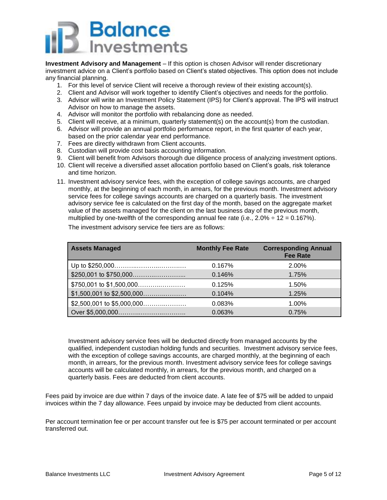

**Investment Advisory and Management** – If this option is chosen Advisor will render discretionary investment advice on a Client's portfolio based on Client's stated objectives. This option does not include any financial planning.

- 1. For this level of service Client will receive a thorough review of their existing account(s).
- 2. Client and Advisor will work together to identify Client's objectives and needs for the portfolio.
- 3. Advisor will write an Investment Policy Statement (IPS) for Client's approval. The IPS will instruct Advisor on how to manage the assets.
- 4. Advisor will monitor the portfolio with rebalancing done as needed.
- 5. Client will receive, at a minimum, quarterly statement(s) on the account(s) from the custodian.
- 6. Advisor will provide an annual portfolio performance report, in the first quarter of each year, based on the prior calendar year end performance.
- 7. Fees are directly withdrawn from Client accounts.
- 8. Custodian will provide cost basis accounting information.
- 9. Client will benefit from Advisors thorough due diligence process of analyzing investment options.
- 10. Client will receive a diversified asset allocation portfolio based on Client's goals, risk tolerance and time horizon.
- 11. Investment advisory service fees, with the exception of college savings accounts, are charged monthly, at the beginning of each month, in arrears, for the previous month. Investment advisory service fees for college savings accounts are charged on a quarterly basis. The investment advisory service fee is calculated on the first day of the month, based on the aggregate market value of the assets managed for the client on the last business day of the previous month, multiplied by one-twelfth of the corresponding annual fee rate (i.e.,  $2.0\% \div 12 = 0.167\%$ ).

The investment advisory service fee tiers are as follows:

| <b>Assets Managed</b>      | <b>Monthly Fee Rate</b> | <b>Corresponding Annual</b><br><b>Fee Rate</b> |
|----------------------------|-------------------------|------------------------------------------------|
|                            | 0.167%                  | 2.00%                                          |
|                            | 0.146%                  | 1.75%                                          |
| $$750,001$ to $$1,500,000$ | 0.125%                  | 1.50%                                          |
|                            | 0.104%                  | 1.25%                                          |
| \$2,500,001 to \$5,000,000 | 0.083%                  | $1.00\%$                                       |
|                            | 0.063%                  | 0.75%                                          |

Investment advisory service fees will be deducted directly from managed accounts by the qualified, independent custodian holding funds and securities. Investment advisory service fees, with the exception of college savings accounts, are charged monthly, at the beginning of each month, in arrears, for the previous month. Investment advisory service fees for college savings accounts will be calculated monthly, in arrears, for the previous month, and charged on a quarterly basis. Fees are deducted from client accounts.

Fees paid by invoice are due within 7 days of the invoice date. A late fee of \$75 will be added to unpaid invoices within the 7 day allowance. Fees unpaid by invoice may be deducted from client accounts.

Per account termination fee or per account transfer out fee is \$75 per account terminated or per account transferred out.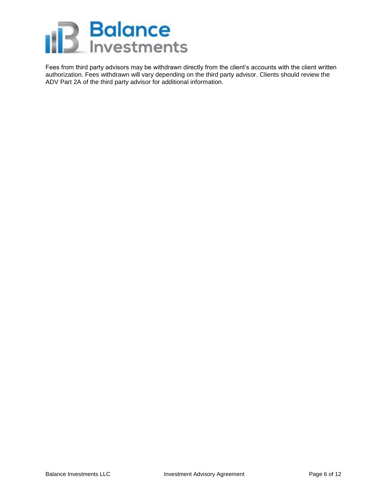

Fees from third party advisors may be withdrawn directly from the client's accounts with the client written authorization. Fees withdrawn will vary depending on the third party advisor. Clients should review the ADV Part 2A of the third party advisor for additional information.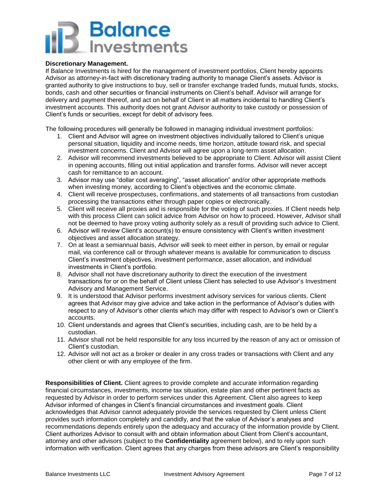### **Discretionary Management.**

If Balance Investments is hired for the management of investment portfolios, Client hereby appoints Advisor as attorney-in-fact with discretionary trading authority to manage Client's assets. Advisor is granted authority to give instructions to buy, sell or transfer exchange traded funds, mutual funds, stocks, bonds, cash and other securities or financial instruments on Client's behalf. Advisor will arrange for delivery and payment thereof, and act on behalf of Client in all matters incidental to handling Client's investment accounts. This authority does not grant Advisor authority to take custody or possession of Client's funds or securities, except for debit of advisory fees.

The following procedures will generally be followed in managing individual investment portfolios:

- 1. Client and Advisor will agree on investment objectives individually tailored to Client's unique personal situation, liquidity and income needs, time horizon, attitude toward risk, and special investment concerns. Client and Advisor will agree upon a long-term asset allocation.
- 2. Advisor will recommend investments believed to be appropriate to Client. Advisor will assist Client in opening accounts, filling out initial application and transfer forms. Advisor will never accept cash for remittance to an account.
- 3. Advisor may use "dollar cost averaging", "asset allocation" and/or other appropriate methods when investing money, according to Client's objectives and the economic climate.
- 4. Client will receive prospectuses, confirmations, and statements of all transactions from custodian processing the transactions either through paper copies or electronically.
- 5. Client will receive all proxies and is responsible for the voting of such proxies. If Client needs help with this process Client can solicit advice from Advisor on how to proceed. However, Advisor shall not be deemed to have proxy voting authority solely as a result of providing such advice to Client.
- 6. Advisor will review Client's account(s) to ensure consistency with Client's written investment objectives and asset allocation strategy.
- 7. On at least a semiannual basis, Advisor will seek to meet either in person, by email or regular mail, via conference call or through whatever means is available for communication to discuss Client's investment objectives, investment performance, asset allocation, and individual investments in Client's portfolio.
- 8. Advisor shall not have discretionary authority to direct the execution of the investment transactions for or on the behalf of Client unless Client has selected to use Advisor's Investment Advisory and Management Service.
- 9. It is understood that Advisor performs investment advisory services for various clients. Client agrees that Advisor may give advice and take action in the performance of Advisor's duties with respect to any of Advisor's other clients which may differ with respect to Advisor's own or Client's accounts.
- 10. Client understands and agrees that Client's securities, including cash, are to be held by a custodian.
- 11. Advisor shall not be held responsible for any loss incurred by the reason of any act or omission of Client's custodian.
- 12. Advisor will not act as a broker or dealer in any cross trades or transactions with Client and any other client or with any employee of the firm.

**Responsibilities of Client.** Client agrees to provide complete and accurate information regarding financial circumstances, investments, income tax situation, estate plan and other pertinent facts as requested by Advisor in order to perform services under this Agreement. Client also agrees to keep Advisor informed of changes in Client's financial circumstances and investment goals. Client acknowledges that Advisor cannot adequately provide the services requested by Client unless Client provides such information completely and candidly, and that the value of Advisor's analyses and recommendations depends entirely upon the adequacy and accuracy of the information provide by Client. Client authorizes Advisor to consult with and obtain information about Client from Client's accountant, attorney and other advisors (subject to the **Confidentiality** agreement below), and to rely upon such information with verification. Client agrees that any charges from these advisors are Client's responsibility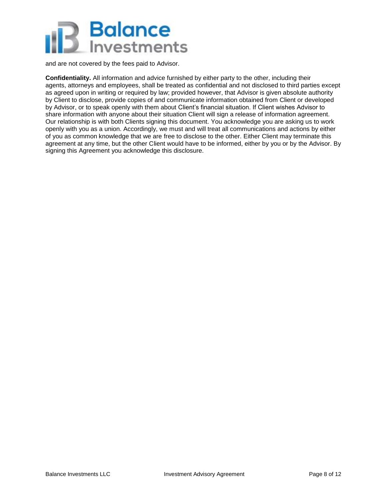

and are not covered by the fees paid to Advisor.

**Confidentiality.** All information and advice furnished by either party to the other, including their agents, attorneys and employees, shall be treated as confidential and not disclosed to third parties except as agreed upon in writing or required by law; provided however, that Advisor is given absolute authority by Client to disclose, provide copies of and communicate information obtained from Client or developed by Advisor, or to speak openly with them about Client's financial situation. If Client wishes Advisor to share information with anyone about their situation Client will sign a release of information agreement. Our relationship is with both Clients signing this document. You acknowledge you are asking us to work openly with you as a union. Accordingly, we must and will treat all communications and actions by either of you as common knowledge that we are free to disclose to the other. Either Client may terminate this agreement at any time, but the other Client would have to be informed, either by you or by the Advisor. By signing this Agreement you acknowledge this disclosure.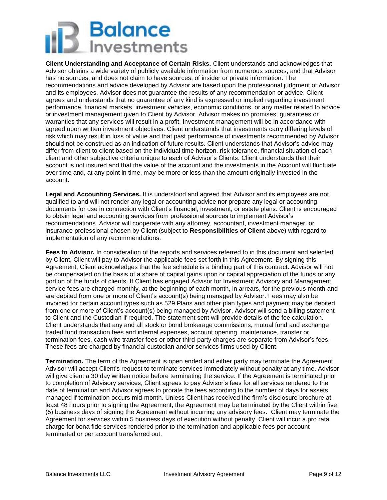**Client Understanding and Acceptance of Certain Risks.** Client understands and acknowledges that Advisor obtains a wide variety of publicly available information from numerous sources, and that Advisor has no sources, and does not claim to have sources, of insider or private information. The recommendations and advice developed by Advisor are based upon the professional judgment of Advisor and its employees. Advisor does not guarantee the results of any recommendation or advice. Client agrees and understands that no guarantee of any kind is expressed or implied regarding investment performance, financial markets, investment vehicles, economic conditions, or any matter related to advice or investment management given to Client by Advisor. Advisor makes no promises, guarantees or warranties that any services will result in a profit. Investment management will be in accordance with agreed upon written investment objectives. Client understands that investments carry differing levels of risk which may result in loss of value and that past performance of investments recommended by Advisor should not be construed as an indication of future results. Client understands that Advisor's advice may differ from client to client based on the individual time horizon, risk tolerance, financial situation of each client and other subjective criteria unique to each of Advisor's Clients. Client understands that their account is not insured and that the value of the account and the investments in the Account will fluctuate over time and, at any point in time, may be more or less than the amount originally invested in the account.

**Legal and Accounting Services.** It is understood and agreed that Advisor and its employees are not qualified to and will not render any legal or accounting advice nor prepare any legal or accounting documents for use in connection with Client's financial, investment, or estate plans. Client is encouraged to obtain legal and accounting services from professional sources to implement Advisor's recommendations. Advisor will cooperate with any attorney, accountant, investment manager, or insurance professional chosen by Client (subject to **Responsibilities of Client** above) with regard to implementation of any recommendations.

**Fees to Advisor.** In consideration of the reports and services referred to in this document and selected by Client, Client will pay to Advisor the applicable fees set forth in this Agreement. By signing this Agreement, Client acknowledges that the fee schedule is a binding part of this contract. Advisor will not be compensated on the basis of a share of capital gains upon or capital appreciation of the funds or any portion of the funds of clients. If Client has engaged Advisor for Investment Advisory and Management, service fees are charged monthly, at the beginning of each month, in arrears, for the previous month and are debited from one or more of Client's account(s) being managed by Advisor. Fees may also be invoiced for certain account types such as 529 Plans and other plan types and payment may be debited from one or more of Client's account(s) being managed by Advisor. Advisor will send a billing statement to Client and the Custodian if required. The statement sent will provide details of the fee calculation. Client understands that any and all stock or bond brokerage commissions, mutual fund and exchange traded fund transaction fees and internal expenses, account opening, maintenance, transfer or termination fees, cash wire transfer fees or other third-party charges are separate from Advisor's fees. These fees are charged by financial custodian and/or services firms used by Client.

**Termination.** The term of the Agreement is open ended and either party may terminate the Agreement. Advisor will accept Client's request to terminate services immediately without penalty at any time. Advisor will give client a 30 day written notice before terminating the service. If the Agreement is terminated prior to completion of Advisory services, Client agrees to pay Advisor's fees for all services rendered to the date of termination and Advisor agrees to prorate the fees according to the number of days for assets managed if termination occurs mid-month. Unless Client has received the firm's disclosure brochure at least 48 hours prior to signing the Agreement, the Agreement may be terminated by the Client within five (5) business days of signing the Agreement without incurring any advisory fees. Client may terminate the Agreement for services within 5 business days of execution without penalty. Client will incur a pro rata charge for bona fide services rendered prior to the termination and applicable fees per account terminated or per account transferred out.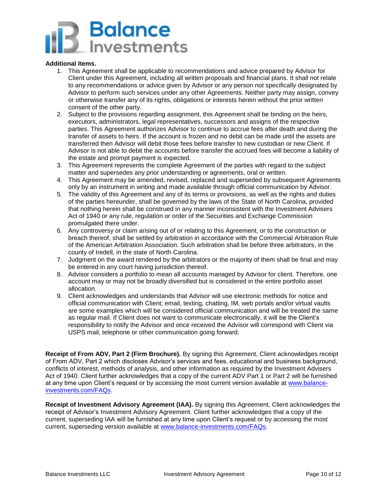

### **Additional Items.**

- 1. This Agreement shall be applicable to recommendations and advice prepared by Advisor for Client under this Agreement, including all written proposals and financial plans. It shall not relate to any recommendations or advice given by Advisor or any person not specifically designated by Advisor to perform such services under any other Agreements. Neither party may assign, convey or otherwise transfer any of its rights, obligations or interests herein without the prior written consent of the other party.
- 2. Subject to the provisions regarding assignment, this Agreement shall be binding on the heirs, executors, administrators, legal representatives, successors and assigns of the respective parties. This Agreement authorizes Advisor to continue to accrue fees after death and during the transfer of assets to heirs. If the account is frozen and no debit can be made until the assets are transferred then Advisor will debit those fees before transfer to new custodian or new Client. If Advisor is not able to debit the accounts before transfer the accrued fees will become a liability of the estate and prompt payment is expected.
- 3. This Agreement represents the complete Agreement of the parties with regard to the subject matter and supersedes any prior understanding or agreements, oral or written.
- 4. This Agreement may be amended, revised, replaced and superseded by subsequent Agreements only by an instrument in writing and made available through official communication by Advisor.
- 5. The validity of this Agreement and any of its terms or provisions, as well as the rights and duties of the parties hereunder, shall be governed by the laws of the State of North Carolina, provided that nothing herein shall be construed in any manner inconsistent with the Investment Advisers Act of 1940 or any rule, regulation or order of the Securities and Exchange Commission promulgated there under.
- 6. Any controversy or claim arising out of or relating to this Agreement, or to the construction or breach thereof, shall be settled by arbitration in accordance with the Commercial Arbitration Rule of the American Arbitration Association. Such arbitration shall be before three arbitrators, in the county of Iredell, in the state of North Carolina.
- 7. Judgment on the award rendered by the arbitrators or the majority of them shall be final and may be entered in any court having jurisdiction thereof.
- 8. Advisor considers a portfolio to mean all accounts managed by Advisor for client. Therefore, one account may or may not be broadly diversified but is considered in the entire portfolio asset allocation.
- 9. Client acknowledges and understands that Advisor will use electronic methods for notice and official communication with Client; email, texting, chatting, IM, web portals and/or virtual vaults are some examples which will be considered official communication and will be treated the same as regular mail. If Client does not want to communicate electronically, it will be the Client's responsibility to notify the Advisor and once received the Advisor will correspond with Client via USPS mail, telephone or other communication going forward.

**Receipt of From ADV, Part 2 (Firm Brochure).** By signing this Agreement, Client acknowledges receipt of From ADV, Part 2 which discloses Advisor's services and fees, educational and business background, conflicts of interest, methods of analysis, and other information as required by the Investment Advisers Act of 1940. Client further acknowledges that a copy of the current ADV Part 1 or Part 2 will be furnished at any time upon Client's request or by accessing the most current version available at [www.balance](http://www.balance-investments.com/FAQs)[investments.com/FAQs.](http://www.balance-investments.com/FAQs)

**Receipt of Investment Advisory Agreement (IAA).** By signing this Agreement, Client acknowledges the receipt of Advisor's Investment Advisory Agreement. Client further acknowledges that a copy of the current, superseding IAA will be furnished at any time upon Client's request or by accessing the most current, superseding version available at [www.balance-investments.com/FAQs.](http://www.balance-investments.com/FAQs)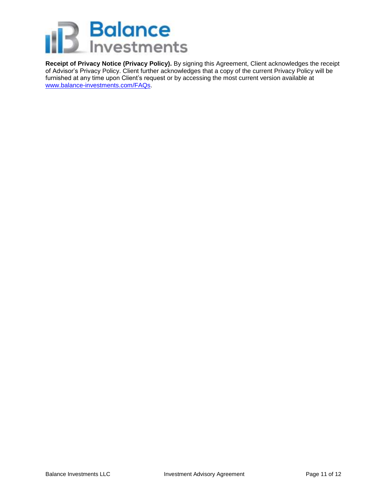

**Receipt of Privacy Notice (Privacy Policy).** By signing this Agreement, Client acknowledges the receipt of Advisor's Privacy Policy. Client further acknowledges that a copy of the current Privacy Policy will be furnished at any time upon Client's request or by accessing the most current version available at [www.balance-investments.com/FAQs.](http://www.balance-investments.com/FAQs)